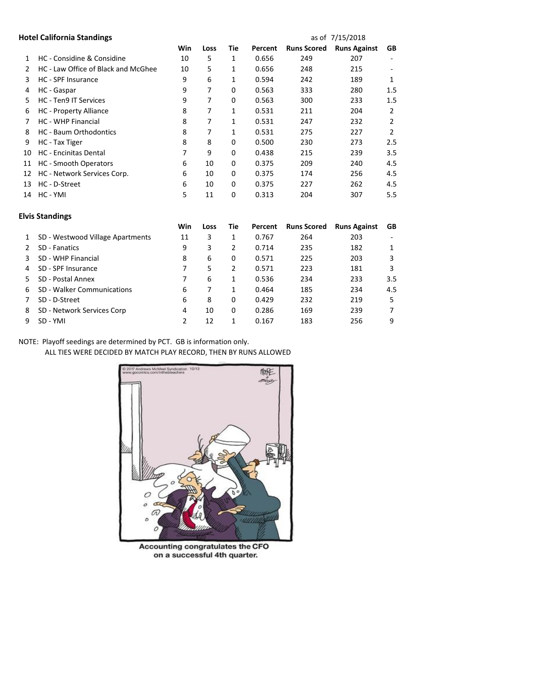|               | <b>Hotel California Standings</b>   |     |      |             |         | as of 7/15/2018    |                     |     |
|---------------|-------------------------------------|-----|------|-------------|---------|--------------------|---------------------|-----|
|               |                                     | Win | Loss | Tie         | Percent | <b>Runs Scored</b> | <b>Runs Against</b> | GB  |
| 1             | HC - Considine & Considine          | 10  | 5    | 1           | 0.656   | 249                | 207                 |     |
| $\mathcal{P}$ | HC - Law Office of Black and McGhee | 10  | 5    | 1           | 0.656   | 248                | 215                 |     |
| 3             | HC - SPF Insurance                  | 9   | 6    | 1           | 0.594   | 242                | 189                 | 1   |
| 4             | HC - Gaspar                         | 9   | 7    | 0           | 0.563   | 333                | 280                 | 1.5 |
| 5             | <b>HC</b> - Ten9 IT Services        | 9   | 7    | $\mathbf 0$ | 0.563   | 300                | 233                 | 1.5 |
| 6             | HC - Property Alliance              | 8   | 7    | 1           | 0.531   | 211                | 204                 | 2   |
|               | <b>HC - WHP Financial</b>           | 8   | 7    | 1           | 0.531   | 247                | 232                 | 2   |
| 8             | <b>HC</b> - Baum Orthodontics       | 8   | 7    | 1           | 0.531   | 275                | 227                 | 2   |
| 9             | HC - Tax Tiger                      | 8   | 8    | $\Omega$    | 0.500   | 230                | 273                 | 2.5 |
| 10            | HC - Encinitas Dental               | 7   | 9    | 0           | 0.438   | 215                | 239                 | 3.5 |
| 11            | <b>HC</b> - Smooth Operators        | 6   | 10   | 0           | 0.375   | 209                | 240                 | 4.5 |
| 12            | HC - Network Services Corp.         | 6   | 10   | $\Omega$    | 0.375   | 174                | 256                 | 4.5 |
| 13            | HC - D-Street                       | 6   | 10   | 0           | 0.375   | 227                | 262                 | 4.5 |
| 14            | HC - YMI                            | 5   | 11   | $\mathbf 0$ | 0.313   | 204                | 307                 | 5.5 |
|               |                                     |     |      |             |         |                    |                     |     |

| <b>Elvis Standings</b> |                                  |     |      |     |         |                    |                     |           |  |
|------------------------|----------------------------------|-----|------|-----|---------|--------------------|---------------------|-----------|--|
|                        |                                  | Win | Loss | Tie | Percent | <b>Runs Scored</b> | <b>Runs Against</b> | <b>GB</b> |  |
|                        | SD - Westwood Village Apartments | 11  | 3    | 1   | 0.767   | 264                | 203                 |           |  |
|                        | SD - Fanatics                    | 9   | 3    | 2   | 0.714   | 235                | 182                 | 1         |  |
|                        | SD - WHP Financial               | 8   | 6    | 0   | 0.571   | 225                | 203                 | 3         |  |
| 4                      | SD - SPF Insurance               |     | 5    | 2   | 0.571   | 223                | 181                 | 3         |  |
|                        | SD - Postal Annex                |     | 6    | 1   | 0.536   | 234                | 233                 | 3.5       |  |
| 6                      | SD - Walker Communications       | 6   | 7    | 1   | 0.464   | 185                | 234                 | 4.5       |  |
|                        | SD - D-Street                    | 6   | 8    | 0   | 0.429   | 232                | 219                 | 5         |  |
| 8                      | SD - Network Services Corp       | 4   | 10   | 0   | 0.286   | 169                | 239                 |           |  |
| 9                      | SD - YMI                         | 2   | 12   | 1   | 0.167   | 183                | 256                 | 9         |  |

NOTE: Playoff seedings are determined by PCT. GB is information only.

ALL TIES WERE DECIDED BY MATCH PLAY RECORD, THEN BY RUNS ALLOWED



Accounting congratulates the CFO on a successful 4th quarter.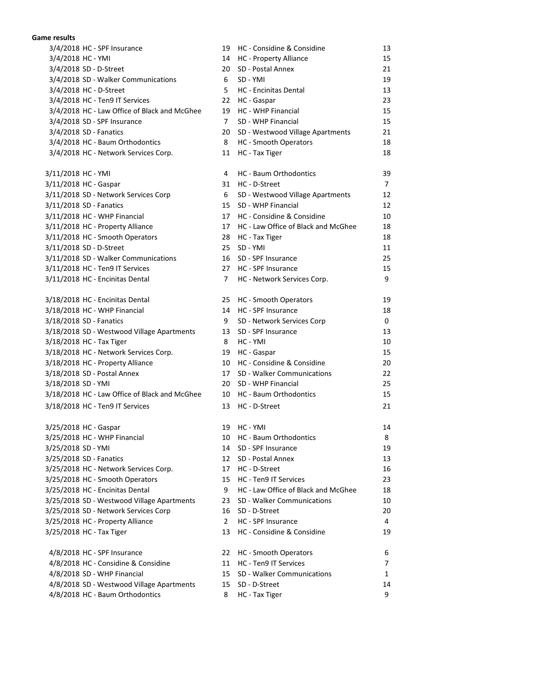## **Game results**

| 3/4/2018 HC - SPF Insurance                   | 19             | HC - Considine & Considine          | 13             |
|-----------------------------------------------|----------------|-------------------------------------|----------------|
| 3/4/2018 HC - YMI                             | 14             | HC - Property Alliance              | 15             |
| 3/4/2018 SD - D-Street                        | 20             | SD - Postal Annex                   | 21             |
| 3/4/2018 SD - Walker Communications           | 6              | SD - YMI                            | 19             |
| 3/4/2018 HC - D-Street                        | 5              | HC - Encinitas Dental               | 13             |
| 3/4/2018 HC - Ten9 IT Services                | 22             | HC - Gaspar                         | 23             |
| 3/4/2018 HC - Law Office of Black and McGhee  | 19             | HC - WHP Financial                  | 15             |
| 3/4/2018 SD - SPF Insurance                   | $\overline{7}$ | SD - WHP Financial                  | 15             |
| 3/4/2018 SD - Fanatics                        | 20             | SD - Westwood Village Apartments    | 21             |
| 3/4/2018 HC - Baum Orthodontics               | 8              | HC - Smooth Operators               | 18             |
| 3/4/2018 HC - Network Services Corp.          | 11             | HC - Tax Tiger                      | 18             |
| 3/11/2018 HC - YMI                            | 4              | HC - Baum Orthodontics              | 39             |
| 3/11/2018 HC - Gaspar                         | 31             | HC - D-Street                       | $\overline{7}$ |
| 3/11/2018 SD - Network Services Corp          | 6              | SD - Westwood Village Apartments    | 12             |
| 3/11/2018 SD - Fanatics                       | 15             | SD - WHP Financial                  | 12             |
| 3/11/2018 HC - WHP Financial                  | 17             | HC - Considine & Considine          | 10             |
| 3/11/2018 HC - Property Alliance              | 17             | HC - Law Office of Black and McGhee | 18             |
| 3/11/2018 HC - Smooth Operators               | 28             | HC - Tax Tiger                      | 18             |
| 3/11/2018 SD - D-Street                       | 25             | SD - YMI                            | 11             |
| 3/11/2018 SD - Walker Communications          | 16             | SD - SPF Insurance                  | 25             |
| 3/11/2018 HC - Ten9 IT Services               | 27             | HC - SPF Insurance                  | 15             |
| 3/11/2018 HC - Encinitas Dental               | $7^{\circ}$    | HC - Network Services Corp.         | 9              |
| 3/18/2018 HC - Encinitas Dental               | 25             | HC - Smooth Operators               | 19             |
| 3/18/2018 HC - WHP Financial                  | 14             | HC - SPF Insurance                  | 18             |
| 3/18/2018 SD - Fanatics                       | 9              | SD - Network Services Corp          | 0              |
| 3/18/2018 SD - Westwood Village Apartments    | 13             | SD - SPF Insurance                  | 13             |
| 3/18/2018 HC - Tax Tiger                      | 8              | HC - YMI                            | 10             |
| 3/18/2018 HC - Network Services Corp.         | 19             | HC - Gaspar                         | 15             |
| 3/18/2018 HC - Property Alliance              | 10             | HC - Considine & Considine          | 20             |
| 3/18/2018 SD - Postal Annex                   | 17             | SD - Walker Communications          | 22             |
| 3/18/2018 SD - YMI                            | 20             | SD - WHP Financial                  | 25             |
| 3/18/2018 HC - Law Office of Black and McGhee | 10             | HC - Baum Orthodontics              | 15             |
| 3/18/2018 HC - Ten9 IT Services               | 13             | HC - D-Street                       | 21             |
| 3/25/2018 HC - Gaspar                         |                | 19 HC - YMI                         | 14             |
| 3/25/2018 HC - WHP Financial                  | 10             | HC - Baum Orthodontics              | 8              |
| 3/25/2018 SD - YMI                            | 14             | SD - SPF Insurance                  | 19             |
| 3/25/2018 SD - Fanatics                       | 12             | SD - Postal Annex                   | 13             |
| 3/25/2018 HC - Network Services Corp.         | 17             | HC - D-Street                       | 16             |
| 3/25/2018 HC - Smooth Operators               | 15             | HC - Ten9 IT Services               | 23             |
| 3/25/2018 HC - Encinitas Dental               | 9              | HC - Law Office of Black and McGhee | 18             |
| 3/25/2018 SD - Westwood Village Apartments    | 23             | SD - Walker Communications          | 10             |
| 3/25/2018 SD - Network Services Corp          | 16             | SD - D-Street                       | 20             |
| 3/25/2018 HC - Property Alliance              | $\mathbf{2}$   | <b>HC</b> - SPF Insurance           | 4              |
| 3/25/2018 HC - Tax Tiger                      | 13             | HC - Considine & Considine          | 19             |
| 4/8/2018 HC - SPF Insurance                   | 22             | HC - Smooth Operators               | 6              |
| 4/8/2018 HC - Considine & Considine           | 11             | HC - Ten9 IT Services               | $\overline{7}$ |
| 4/8/2018 SD - WHP Financial                   | 15             | SD - Walker Communications          | 1              |
| 4/8/2018 SD - Westwood Village Apartments     | 15             | SD - D-Street                       | 14             |
| 4/8/2018 HC - Baum Orthodontics               | 8              | HC - Tax Tiger                      | 9              |
|                                               |                |                                     |                |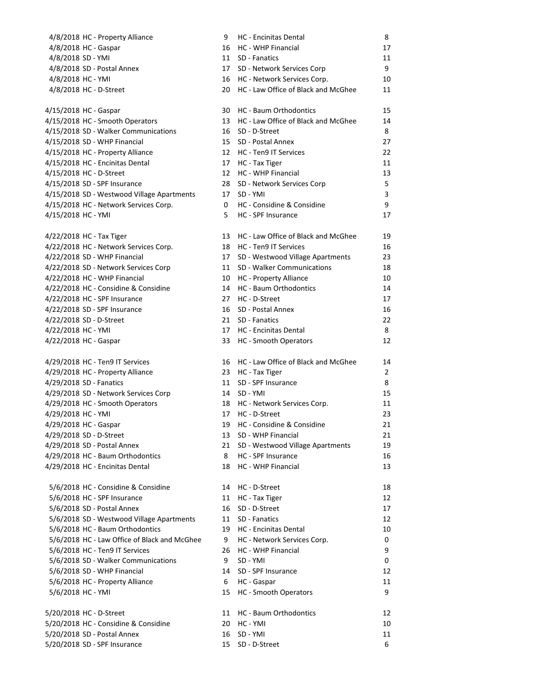| 4/8/2018 HC - Property Alliance              | 9  | <b>HC</b> - Encinitas Dental           | 8              |
|----------------------------------------------|----|----------------------------------------|----------------|
| 4/8/2018 HC - Gaspar                         | 16 | <b>HC - WHP Financial</b>              | 17             |
| 4/8/2018 SD - YMI                            |    | 11 SD - Fanatics                       | 11             |
| 4/8/2018 SD - Postal Annex                   |    | 17 SD - Network Services Corp          | 9              |
| 4/8/2018 HC - YMI                            |    | 16 HC - Network Services Corp.         | 10             |
| 4/8/2018 HC - D-Street                       |    | 20 HC - Law Office of Black and McGhee | 11             |
|                                              |    |                                        |                |
| 4/15/2018 HC - Gaspar                        | 30 | HC - Baum Orthodontics                 | 15             |
| 4/15/2018 HC - Smooth Operators              | 13 | HC - Law Office of Black and McGhee    | 14             |
| 4/15/2018 SD - Walker Communications         | 16 | SD - D-Street                          | 8              |
| 4/15/2018 SD - WHP Financial                 |    | 15 SD - Postal Annex                   | 27             |
| 4/15/2018 HC - Property Alliance             |    | 12 HC - Ten9 IT Services               | 22             |
| 4/15/2018 HC - Encinitas Dental              | 17 | HC - Tax Tiger                         | 11             |
| 4/15/2018 HC - D-Street                      |    | 12 HC - WHP Financial                  | 13             |
| 4/15/2018 SD - SPF Insurance                 | 28 | SD - Network Services Corp             | 5              |
| 4/15/2018 SD - Westwood Village Apartments   | 17 | SD - YMI                               | 3              |
| 4/15/2018 HC - Network Services Corp.        | 0  | HC - Considine & Considine             | 9              |
| 4/15/2018 HC - YMI                           | 5  | HC - SPF Insurance                     | 17             |
|                                              |    |                                        |                |
| 4/22/2018 HC - Tax Tiger                     | 13 | HC - Law Office of Black and McGhee    | 19             |
| 4/22/2018 HC - Network Services Corp.        | 18 | HC - Ten9 IT Services                  | 16             |
| 4/22/2018 SD - WHP Financial                 | 17 | SD - Westwood Village Apartments       | 23             |
| 4/22/2018 SD - Network Services Corp         |    | 11 SD - Walker Communications          | 18             |
| 4/22/2018 HC - WHP Financial                 | 10 | HC - Property Alliance                 | 10             |
| 4/22/2018 HC - Considine & Considine         | 14 | HC - Baum Orthodontics                 | 14             |
| 4/22/2018 HC - SPF Insurance                 | 27 | HC - D-Street                          | 17             |
| 4/22/2018 SD - SPF Insurance                 | 16 | SD - Postal Annex                      | 16             |
| 4/22/2018 SD - D-Street                      |    | 21 SD - Fanatics                       | 22             |
| 4/22/2018 HC - YMI                           |    | 17 HC - Encinitas Dental               | 8              |
| 4/22/2018 HC - Gaspar                        | 33 | HC - Smooth Operators                  | 12             |
| 4/29/2018 HC - Ten9 IT Services              | 16 | HC - Law Office of Black and McGhee    | 14             |
| 4/29/2018 HC - Property Alliance             |    | 23 HC - Tax Tiger                      | $\overline{2}$ |
| 4/29/2018 SD - Fanatics                      | 11 | SD - SPF Insurance                     | 8              |
| 4/29/2018 SD - Network Services Corp         |    | 14 SD - YMI                            | 15             |
| 4/29/2018 HC - Smooth Operators              | 18 | HC - Network Services Corp.            | 11             |
| 4/29/2018 HC - YMI                           | 17 | HC - D-Street                          | 23             |
| 4/29/2018 HC - Gaspar                        | 19 | HC - Considine & Considine             | 21             |
| 4/29/2018 SD - D-Street                      | 13 | SD - WHP Financial                     | 21             |
| 4/29/2018 SD - Postal Annex                  | 21 | SD - Westwood Village Apartments       | 19             |
| 4/29/2018 HC - Baum Orthodontics             | 8  | <b>HC</b> - SPF Insurance              | 16             |
| 4/29/2018 HC - Encinitas Dental              | 18 | <b>HC - WHP Financial</b>              | 13             |
|                                              |    |                                        |                |
| 5/6/2018 HC - Considine & Considine          | 14 | HC - D-Street                          | 18             |
| 5/6/2018 HC - SPF Insurance                  | 11 | HC - Tax Tiger                         | 12             |
| 5/6/2018 SD - Postal Annex                   | 16 | SD - D-Street                          | 17             |
| 5/6/2018 SD - Westwood Village Apartments    | 11 | SD - Fanatics                          | 12             |
| 5/6/2018 HC - Baum Orthodontics              | 19 | HC - Encinitas Dental                  | 10             |
| 5/6/2018 HC - Law Office of Black and McGhee | 9  | HC - Network Services Corp.            | 0              |
| 5/6/2018 HC - Ten9 IT Services               | 26 | HC - WHP Financial                     | 9              |
| 5/6/2018 SD - Walker Communications          | 9  | SD - YMI                               | 0              |
| 5/6/2018 SD - WHP Financial                  | 14 | SD - SPF Insurance                     | 12             |
| 5/6/2018 HC - Property Alliance              | 6  | HC - Gaspar                            | 11             |
| 5/6/2018 HC - YMI                            | 15 | HC - Smooth Operators                  | 9              |
| 5/20/2018 HC - D-Street                      | 11 | HC - Baum Orthodontics                 | 12             |
| 5/20/2018 HC - Considine & Considine         | 20 | HC - YMI                               | 10             |
| 5/20/2018 SD - Postal Annex                  | 16 | SD - YMI                               | 11             |
| 5/20/2018 SD - SPF Insurance                 | 15 | SD - D-Street                          | 6              |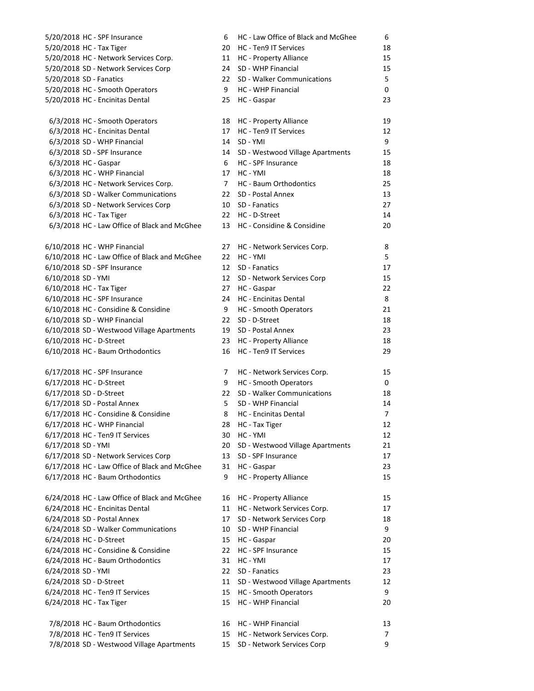| 5/20/2018 HC - SPF Insurance                  | 6              | HC - Law Office of Black and McGhee    | 6              |
|-----------------------------------------------|----------------|----------------------------------------|----------------|
| 5/20/2018 HC - Tax Tiger                      | 20             | HC - Ten9 IT Services                  | 18             |
| 5/20/2018 HC - Network Services Corp.         | 11             | HC - Property Alliance                 | 15             |
| 5/20/2018 SD - Network Services Corp          | 24             | SD - WHP Financial                     | 15             |
| 5/20/2018 SD - Fanatics                       | 22             | SD - Walker Communications             | 5              |
| 5/20/2018 HC - Smooth Operators               | 9              | HC - WHP Financial                     | 0              |
| 5/20/2018 HC - Encinitas Dental               | 25             | HC - Gaspar                            | 23             |
|                                               |                |                                        |                |
| 6/3/2018 HC - Smooth Operators                | 18             | <b>HC</b> - Property Alliance          | 19             |
| 6/3/2018 HC - Encinitas Dental                | 17             | HC - Ten9 IT Services                  | 12             |
| 6/3/2018 SD - WHP Financial                   | 14             | SD - YMI                               | 9              |
| 6/3/2018 SD - SPF Insurance                   | 14             | SD - Westwood Village Apartments       | 15             |
| 6/3/2018 HC - Gaspar                          | 6              | HC - SPF Insurance                     | 18             |
| 6/3/2018 HC - WHP Financial                   | 17             | HC - YMI                               | 18             |
| 6/3/2018 HC - Network Services Corp.          | $\overline{7}$ | HC - Baum Orthodontics                 | 25             |
| 6/3/2018 SD - Walker Communications           | 22             | SD - Postal Annex                      | 13             |
| 6/3/2018 SD - Network Services Corp           | 10             | SD - Fanatics                          | 27             |
| 6/3/2018 HC - Tax Tiger                       | 22             | HC - D-Street                          |                |
|                                               |                | HC - Considine & Considine             | 14             |
| 6/3/2018 HC - Law Office of Black and McGhee  | 13             |                                        | 20             |
| 6/10/2018 HC - WHP Financial                  | 27             | HC - Network Services Corp.            | 8              |
| 6/10/2018 HC - Law Office of Black and McGhee | 22             | HC - YMI                               | 5              |
| 6/10/2018 SD - SPF Insurance                  | 12             | SD - Fanatics                          | 17             |
| 6/10/2018 SD - YMI                            | 12             |                                        | 15             |
| 6/10/2018 HC - Tax Tiger                      | 27             | SD - Network Services Corp             | 22             |
| 6/10/2018 HC - SPF Insurance                  | 24             | HC - Gaspar<br>HC - Encinitas Dental   | 8              |
| 6/10/2018 HC - Considine & Considine          | 9              |                                        | 21             |
| 6/10/2018 SD - WHP Financial                  | 22             | HC - Smooth Operators<br>SD - D-Street | 18             |
| 6/10/2018 SD - Westwood Village Apartments    | 19             | SD - Postal Annex                      | 23             |
| 6/10/2018 HC - D-Street                       | 23             | HC - Property Alliance                 | 18             |
| 6/10/2018 HC - Baum Orthodontics              | 16             | HC - Ten9 IT Services                  | 29             |
|                                               |                |                                        |                |
| 6/17/2018 HC - SPF Insurance                  | 7              | HC - Network Services Corp.            | 15             |
| 6/17/2018 HC - D-Street                       | 9              | HC - Smooth Operators                  | 0              |
| 6/17/2018 SD - D-Street                       | 22             | SD - Walker Communications             | 18             |
| 6/17/2018 SD - Postal Annex                   | 5              | SD - WHP Financial                     | 14             |
| 6/17/2018 HC - Considine & Considine          | 8              | <b>HC</b> - Encinitas Dental           | $\overline{7}$ |
| 6/17/2018 HC - WHP Financial                  | 28             | HC - Tax Tiger                         | 12             |
| 6/17/2018 HC - Ten9 IT Services               | 30             | HC - YMI                               | 12             |
| 6/17/2018 SD - YMI                            | 20             | SD - Westwood Village Apartments       | 21             |
| 6/17/2018 SD - Network Services Corp          | 13             | SD - SPF Insurance                     | 17             |
| 6/17/2018 HC - Law Office of Black and McGhee | 31             | HC - Gaspar                            | 23             |
| 6/17/2018 HC - Baum Orthodontics              | 9              | HC - Property Alliance                 | 15             |
|                                               |                |                                        |                |
| 6/24/2018 HC - Law Office of Black and McGhee | 16             | <b>HC</b> - Property Alliance          | 15             |
| 6/24/2018 HC - Encinitas Dental               | 11             | HC - Network Services Corp.            | 17             |
| 6/24/2018 SD - Postal Annex                   | 17             | SD - Network Services Corp             | 18             |
| 6/24/2018 SD - Walker Communications          | 10             | SD - WHP Financial                     | 9              |
| 6/24/2018 HC - D-Street                       | 15             | HC - Gaspar                            | 20             |
| 6/24/2018 HC - Considine & Considine          | 22             | HC - SPF Insurance                     | 15             |
| 6/24/2018 HC - Baum Orthodontics              | 31             | HC - YMI                               | 17             |
| 6/24/2018 SD - YMI                            | 22             | SD - Fanatics                          | 23             |
| 6/24/2018 SD - D-Street                       | 11             | SD - Westwood Village Apartments       | 12             |
| 6/24/2018 HC - Ten9 IT Services               | 15             | HC - Smooth Operators                  | 9              |
| 6/24/2018 HC - Tax Tiger                      | 15             | HC - WHP Financial                     | 20             |
|                                               |                |                                        |                |
| 7/8/2018 HC - Baum Orthodontics               | 16             | HC - WHP Financial                     | 13             |
| 7/8/2018 HC - Ten9 IT Services                | 15             | HC - Network Services Corp.            | 7              |
| 7/8/2018 SD - Westwood Village Apartments     | 15             | SD - Network Services Corp             | 9              |